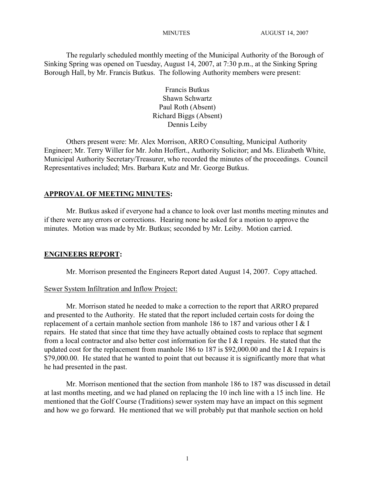The regularly scheduled monthly meeting of the Municipal Authority of the Borough of Sinking Spring was opened on Tuesday, August 14, 2007, at 7:30 p.m., at the Sinking Spring Borough Hall, by Mr. Francis Butkus. The following Authority members were present:

> Francis Butkus Shawn Schwartz Paul Roth (Absent) Richard Biggs (Absent) Dennis Leiby

Others present were: Mr. Alex Morrison, ARRO Consulting, Municipal Authority Engineer; Mr. Terry Willer for Mr. John Hoffert., Authority Solicitor; and Ms. Elizabeth White, Municipal Authority Secretary/Treasurer, who recorded the minutes of the proceedings. Council Representatives included; Mrs. Barbara Kutz and Mr. George Butkus.

#### **APPROVAL OF MEETING MINUTES:**

Mr. Butkus asked if everyone had a chance to look over last months meeting minutes and if there were any errors or corrections. Hearing none he asked for a motion to approve the minutes. Motion was made by Mr. Butkus; seconded by Mr. Leiby. Motion carried.

#### **ENGINEERS REPORT:**

Mr. Morrison presented the Engineers Report dated August 14, 2007. Copy attached.

#### Sewer System Infiltration and Inflow Project:

Mr. Morrison stated he needed to make a correction to the report that ARRO prepared and presented to the Authority. He stated that the report included certain costs for doing the replacement of a certain manhole section from manhole 186 to 187 and various other I & I repairs. He stated that since that time they have actually obtained costs to replace that segment from a local contractor and also better cost information for the I & I repairs. He stated that the updated cost for the replacement from manhole 186 to 187 is \$92,000.00 and the I & I repairs is \$79,000.00. He stated that he wanted to point that out because it is significantly more that what he had presented in the past.

Mr. Morrison mentioned that the section from manhole 186 to 187 was discussed in detail at last months meeting, and we had planed on replacing the 10 inch line with a 15 inch line. He mentioned that the Golf Course (Traditions) sewer system may have an impact on this segment and how we go forward. He mentioned that we will probably put that manhole section on hold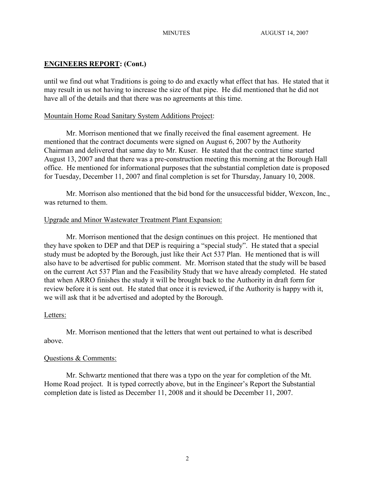# **ENGINEERS REPORT: (Cont.)**

until we find out what Traditions is going to do and exactly what effect that has. He stated that it may result in us not having to increase the size of that pipe. He did mentioned that he did not have all of the details and that there was no agreements at this time.

## Mountain Home Road Sanitary System Additions Project:

Mr. Morrison mentioned that we finally received the final easement agreement. He mentioned that the contract documents were signed on August 6, 2007 by the Authority Chairman and delivered that same day to Mr. Kuser. He stated that the contract time started August 13, 2007 and that there was a pre-construction meeting this morning at the Borough Hall office. He mentioned for informational purposes that the substantial completion date is proposed for Tuesday, December 11, 2007 and final completion is set for Thursday, January 10, 2008.

Mr. Morrison also mentioned that the bid bond for the unsuccessful bidder, Wexcon, Inc., was returned to them.

## Upgrade and Minor Wastewater Treatment Plant Expansion:

Mr. Morrison mentioned that the design continues on this project. He mentioned that they have spoken to DEP and that DEP is requiring a "special study". He stated that a special study must be adopted by the Borough, just like their Act 537 Plan. He mentioned that is will also have to be advertised for public comment. Mr. Morrison stated that the study will be based on the current Act 537 Plan and the Feasibility Study that we have already completed. He stated that when ARRO finishes the study it will be brought back to the Authority in draft form for review before it is sent out. He stated that once it is reviewed, if the Authority is happy with it, we will ask that it be advertised and adopted by the Borough.

## Letters:

Mr. Morrison mentioned that the letters that went out pertained to what is described above.

## Questions & Comments:

Mr. Schwartz mentioned that there was a typo on the year for completion of the Mt. Home Road project. It is typed correctly above, but in the Engineer's Report the Substantial completion date is listed as December 11, 2008 and it should be December 11, 2007.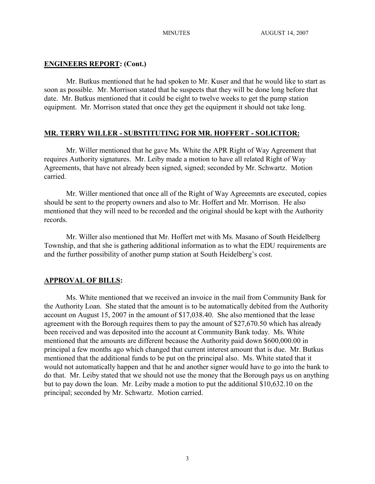## **ENGINEERS REPORT: (Cont.)**

Mr. Butkus mentioned that he had spoken to Mr. Kuser and that he would like to start as soon as possible. Mr. Morrison stated that he suspects that they will be done long before that date. Mr. Butkus mentioned that it could be eight to twelve weeks to get the pump station equipment. Mr. Morrison stated that once they get the equipment it should not take long.

## **MR. TERRY WILLER - SUBSTITUTING FOR MR. HOFFERT - SOLICITOR:**

Mr. Willer mentioned that he gave Ms. White the APR Right of Way Agreement that requires Authority signatures. Mr. Leiby made a motion to have all related Right of Way Agreements, that have not already been signed, signed; seconded by Mr. Schwartz. Motion carried.

Mr. Willer mentioned that once all of the Right of Way Agreeemnts are executed, copies should be sent to the property owners and also to Mr. Hoffert and Mr. Morrison. He also mentioned that they will need to be recorded and the original should be kept with the Authority records.

Mr. Willer also mentioned that Mr. Hoffert met with Ms. Masano of South Heidelberg Township, and that she is gathering additional information as to what the EDU requirements are and the further possibility of another pump station at South Heidelberg's cost.

#### **APPROVAL OF BILLS:**

Ms. White mentioned that we received an invoice in the mail from Community Bank for the Authority Loan. She stated that the amount is to be automatically debited from the Authority account on August 15, 2007 in the amount of \$17,038.40. She also mentioned that the lease agreement with the Borough requires them to pay the amount of \$27,670.50 which has already been received and was deposited into the account at Community Bank today. Ms. White mentioned that the amounts are different because the Authority paid down \$600,000.00 in principal a few months ago which changed that current interest amount that is due. Mr. Butkus mentioned that the additional funds to be put on the principal also. Ms. White stated that it would not automatically happen and that he and another signer would have to go into the bank to do that. Mr. Leiby stated that we should not use the money that the Borough pays us on anything but to pay down the loan. Mr. Leiby made a motion to put the additional \$10,632.10 on the principal; seconded by Mr. Schwartz. Motion carried.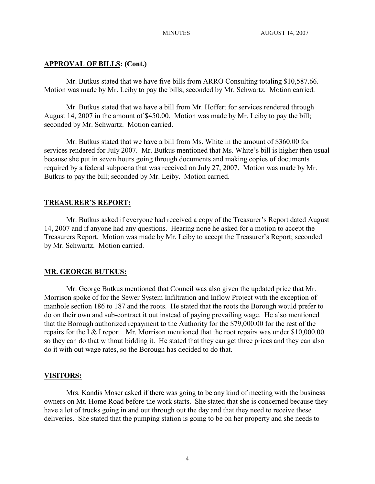## **APPROVAL OF BILLS: (Cont.)**

Mr. Butkus stated that we have five bills from ARRO Consulting totaling \$10,587.66. Motion was made by Mr. Leiby to pay the bills; seconded by Mr. Schwartz. Motion carried.

Mr. Butkus stated that we have a bill from Mr. Hoffert for services rendered through August 14, 2007 in the amount of \$450.00. Motion was made by Mr. Leiby to pay the bill; seconded by Mr. Schwartz. Motion carried.

Mr. Butkus stated that we have a bill from Ms. White in the amount of \$360.00 for services rendered for July 2007. Mr. Butkus mentioned that Ms. White's bill is higher then usual because she put in seven hours going through documents and making copies of documents required by a federal subpoena that was received on July 27, 2007. Motion was made by Mr. Butkus to pay the bill; seconded by Mr. Leiby. Motion carried.

#### **TREASURER'S REPORT:**

Mr. Butkus asked if everyone had received a copy of the Treasurer's Report dated August 14, 2007 and if anyone had any questions. Hearing none he asked for a motion to accept the Treasurers Report. Motion was made by Mr. Leiby to accept the Treasurer's Report; seconded by Mr. Schwartz. Motion carried.

#### **MR. GEORGE BUTKUS:**

Mr. George Butkus mentioned that Council was also given the updated price that Mr. Morrison spoke of for the Sewer System Infiltration and Inflow Project with the exception of manhole section 186 to 187 and the roots. He stated that the roots the Borough would prefer to do on their own and sub-contract it out instead of paying prevailing wage. He also mentioned that the Borough authorized repayment to the Authority for the \$79,000.00 for the rest of the repairs for the I & I report. Mr. Morrison mentioned that the root repairs was under \$10,000.00 so they can do that without bidding it. He stated that they can get three prices and they can also do it with out wage rates, so the Borough has decided to do that.

## **VISITORS:**

Mrs. Kandis Moser asked if there was going to be any kind of meeting with the business owners on Mt. Home Road before the work starts. She stated that she is concerned because they have a lot of trucks going in and out through out the day and that they need to receive these deliveries. She stated that the pumping station is going to be on her property and she needs to